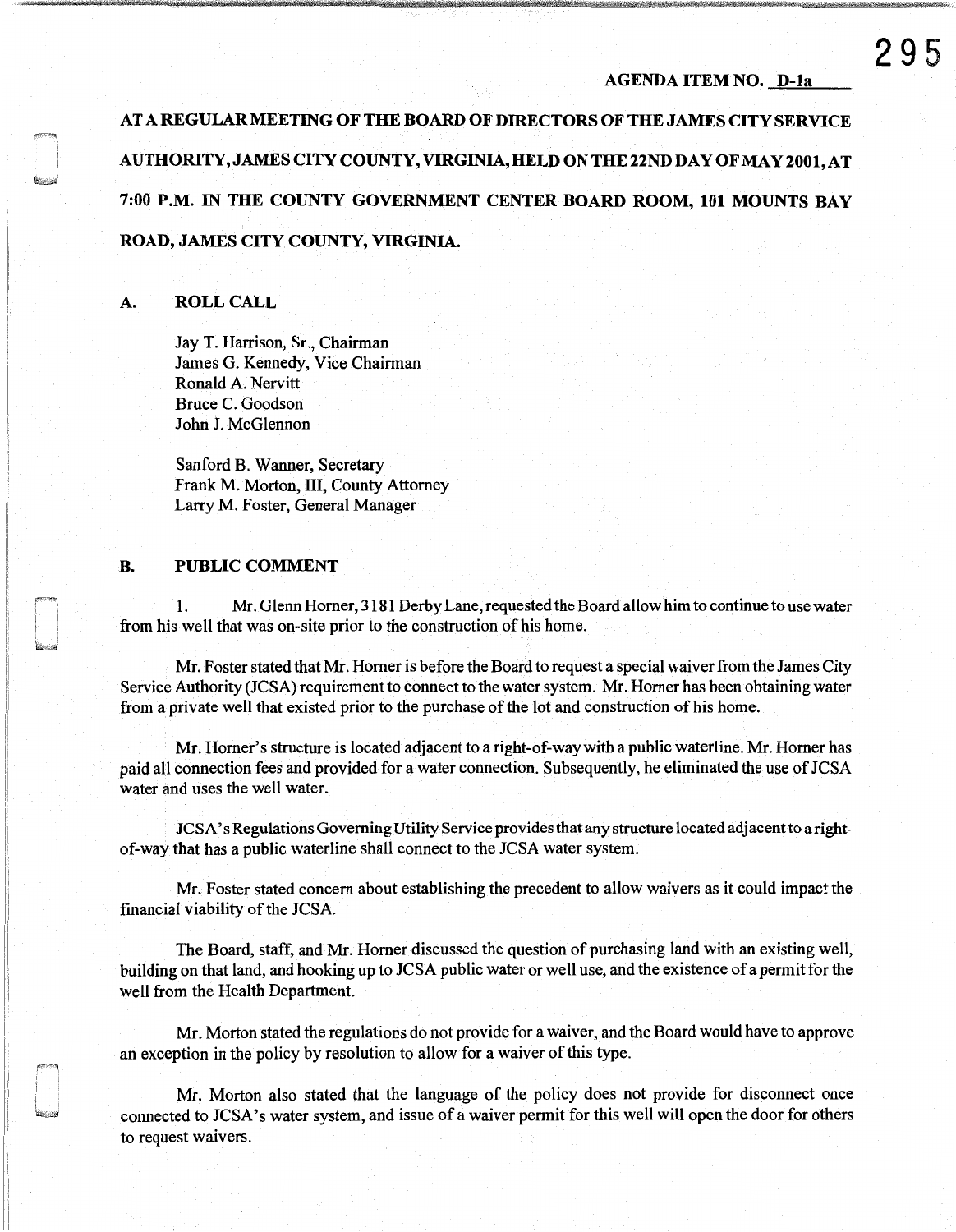#### AGENDA ITEM NO. D-la

AT A REGULAR MEETING OF THE BOARD OF DIRECTORS OF THE JAMES CITY SERVICE AUTHORITY,JAMES CITY COUNTY, VIRGINIA, HELD ONTHE22NDDAY OFMAY2001,AT 7:00 P.M. IN THE COUNTY GOVERNMENT CENTER BOARD ROOM, 101 MOUNTS BAY ROAD, JAMES CITY COUNTY, VIRGINIA.

# A. ROLL CALL

Jay T. Harrison, Sr., Chairman James G. Kennedy, Vice Chairman Ronald A. Nervitt Bruce C. Goodson John J. McGlennon

Sanford B. Wanner, Secretary Frank M. Morton, III, County Attorney Larry M. Foster, General Manager

# B. PUBLIC COMMENT

1. Mr. Glenn Horner, 3181 Derby Lane, requested the Board allow him to continue to use water from his well that was on-site prior to the construction of his home.

Mr. Foster stated that Mr. Horner is before the Board to request a special waiver from the James City Service Authority (JCSA) requirementto connect to the water system. Mr. Horner has been obtaining water from a private well that existed prior to the purchase of the lot and construction of his home.

Mr. Horner' s structure is located adjacent to a right-of-way with a public waterline. Mr. Horner has paid all connection fees and provided for a water connection. Subsequently, he eliminated the use of JCSA water and uses the well water.

JCSA' s Regulations Governing Utility Service provides that any structure located adjacent to a rightof-way that has a public waterline shall connect to the JCSA water system.

Mr. Foster stated concern about establishing the precedent to allow waivers as it could impact the financial viability of the JCSA.

The Board, staff, and Mr. Horner discussed the question of purchasing land with an existing well, building on that land, and hooking up to JCSA public water or well use, and the existence of a permit for the well from the Health Department.

Mr. Morton stated the regulations do not provide for a waiver, and the Board would have to approve an exception in the policy by resolution to allow for a waiver of this type.

Mr. Morton also stated that the language of the policy does not provide for disconnect once connected to JCSA's water system, and issue of a waiver permit for this well will open the door for others to request waivers.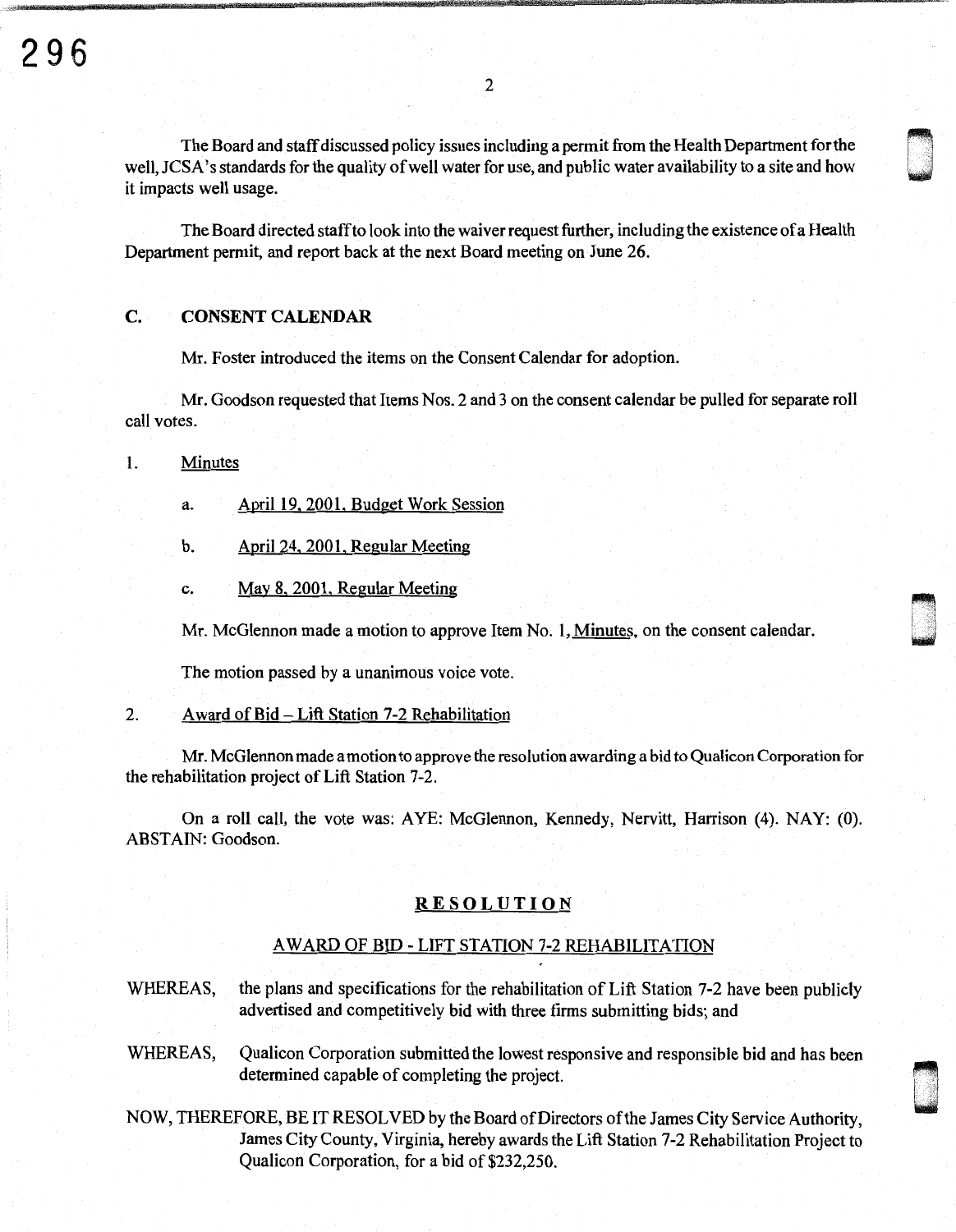The Board and staff discussed policy issues including a permit from the Health Department for the well, JCSA's standards for the quality of well water for use, and public water availability to a site and how it impacts well usage.

The Board directed staff to look into the waiver request further, including the existence of a Health Department permit, and report back at the next Board meeting on June 26.

# C. CONSENT CALENDAR

Mr. Foster introduced the items on the Consent Calendar for adoption.

Mr. Goodson requested that Items Nos. 2 and 3 on the consent calendar be pulled for separate roll call votes.

1. Minutes

- a. April 19, 2001, Budget Work Session
- b. April 24. 2001. Regular Meeting
- c. May 8, 2001, Regular Meeting

Mr. McGlennon made a motion to approve Item No. 1, Minutes, on the consent calendar.

The motion passed by a unanimous voice vote.

## 2. Award of Bid -Lift Station 7-2 Rehabilitation

Mr. McGlennon made a motion to approve the resolution awarding a bid to Qualicon Corporation for the rehabilitation project of Lift Station 7-2.

On a roll call, the vote was: AYE: McGlennon, Kennedy, Nervitt, Harrison (4). NAY: (0). ABSTAIN: Goodson.

### RESOLUTION

### AW ARD OF BID - LIFT STATION 7-2 REHABILITATION

- WHEREAS, the plans and specifications for the rehabilitation of Lift Station 7-2 have been publicly advertised and competitively bid with three firms submitting bids; and
- WHEREAS, Qualicon Corporation submitted the lowest responsive and responsible bid and has been determined capable of completing the project.

u .<br>1940<br>1940

NOW, THEREFORE, BE IT RESOLVED by the Board of Directors of the James City Service Authority, James City County, Virginia, hereby awards the Lift Station 7-2 Rehabilitation Project to Qualicon Corporation, for a bid of \$232,250.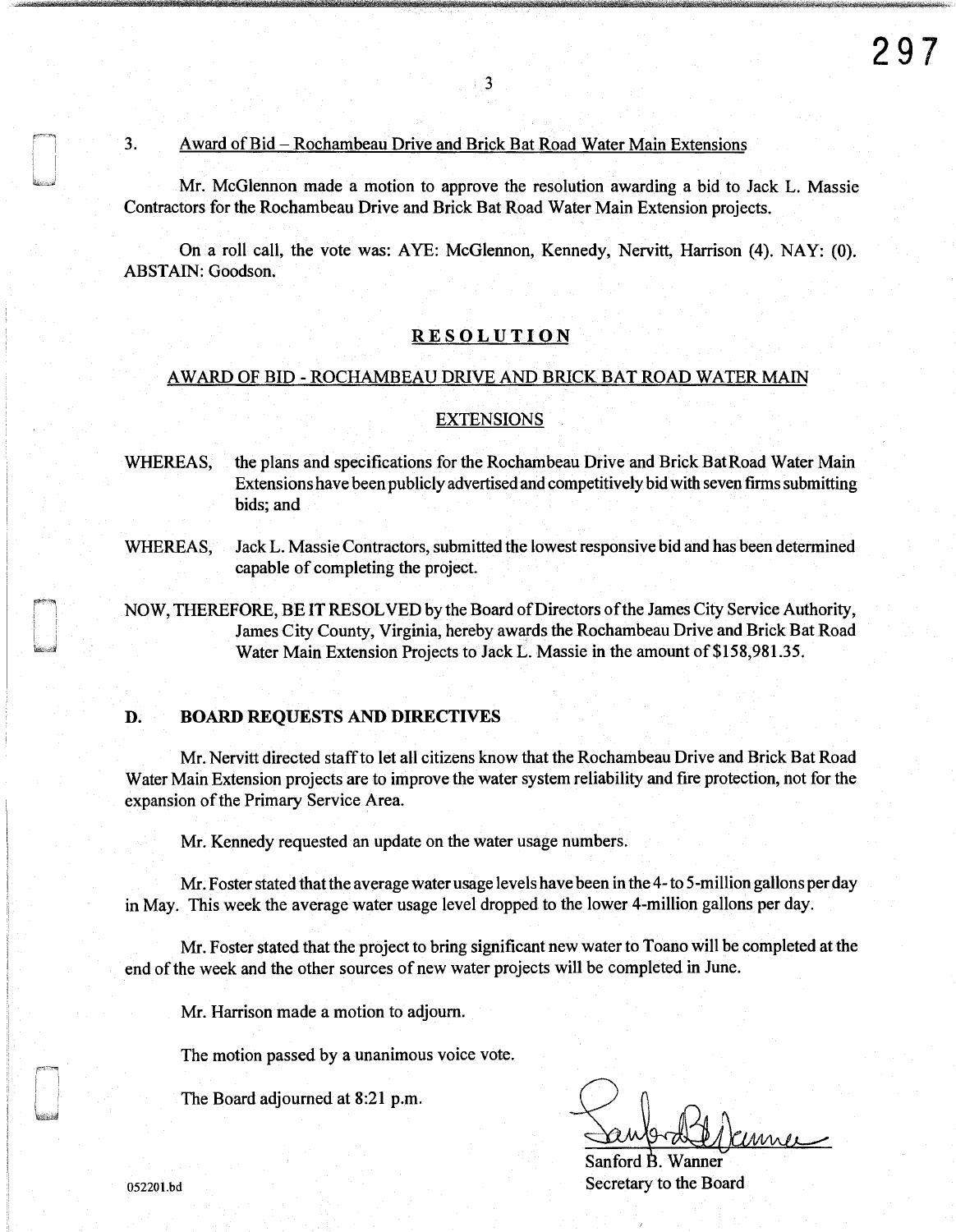#### 3. Award of Bid-Rochambeau Drive and Brick Bat Road Water Main Extensions

Mr. McGlennon made a motion to approve the resolution awarding a bid to Jack L. Massie Contractors for the Rochambeau Drive and Brick Bat Road Water Main Extension projects.

3

On a roll call, the vote was: AYE: McGlennon, Kennedy, Nervitt, Harrison (4). NAY: (0). ABSTAIN: Goodson.

## RESOLUTION

### A WARD OF BID - ROCHAMBEAU DRIVE AND BRICK BAT ROAD WATER MAIN

#### **EXTENSIONS**

- WHEREAS, the plans and specifications for the Rochambeau Drive and Brick BatRoad Water Main Extensions have been publicly advertised and competitively bid with seven firms submitting bids; and
- WHEREAS, Jack L. Massie Contractors, submitted the lowest responsive bid and has been determined capable of completing the project.
- NOW, THEREFORE, BE IT RESOLVED by the Board of Directors of the James City Service Authority, James City County, Virginia, hereby awards the Rochambeau Drive and Brick Bat Road Water Main Extension Projects to Jack L. Massie in the amount of \$158,981.35.

# **D. BOARD** REQUESTS AND DIRECTIVES

Mr. Nervitt directed staff to let all citizens know that the Rochambeau Drive and Brick Bat Road Water Main Extension projects are to improve the water system reliability and fire protection, not for the expansion of the Primary Service Area.

Mr. Kennedy requested an update on the water usage numbers.

Mr. Foster stated that the average water usage levels have been in the 4-to 5-million gallons per day in May. This week the average water usage level dropped to the lower 4-million gallons per day.

Mr. Foster stated that the project to bring significant new water to Toano will be completed at the end of the week and the other sources of new water projects will be completed in June.

Mr. Harrison made a motion to adjourn.

The motion passed by a unanimous voice vote.

The Board adjourned at 8:21 p.m.

Eaubrabildeume

052201.bd Secretary to the Board